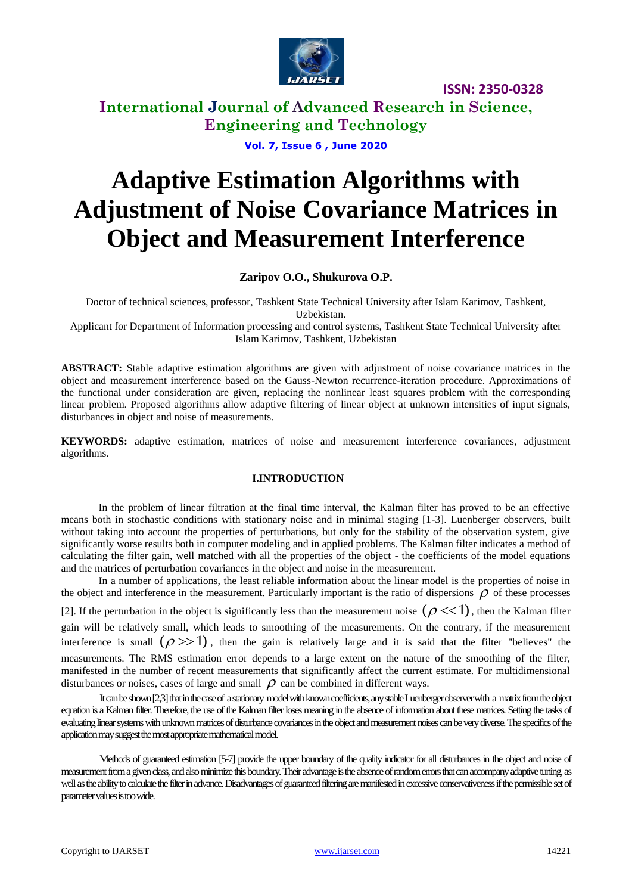

**ISSN: 2350-0328**

**International Journal of Advanced Research in Science, Engineering and Technology**

**Vol. 7, Issue 6 , June 2020**

# **Adaptive Estimation Algorithms with Adjustment of Noise Covariance Matrices in Object and Measurement Interference**

### **Zaripov O.O., Shukurova O.P.**

Doctor of technical sciences, professor, Tashkent State Technical University after Islam Karimov, Tashkent, Uzbekistan.

Applicant for Department of Information processing and control systems, Tashkent State Technical University after Islam Karimov, Tashkent, Uzbekistan

**ABSTRACT:** Stable adaptive estimation algorithms are given with adjustment of noise covariance matrices in the object and measurement interference based on the Gauss-Newton recurrence-iteration procedure. Approximations of the functional under consideration are given, replacing the nonlinear least squares problem with the corresponding linear problem. Proposed algorithms allow adaptive filtering of linear object at unknown intensities of input signals, disturbances in object and noise of measurements.

**KEYWORDS:** adaptive estimation, matrices of noise and measurement interference covariances, adjustment algorithms.

### **I.INTRODUCTION**

In the problem of linear filtration at the final time interval, the Kalman filter has proved to be an effective means both in stochastic conditions with stationary noise and in minimal staging [1-3]. Luenberger observers, built without taking into account the properties of perturbations, but only for the stability of the observation system, give significantly worse results both in computer modeling and in applied problems. The Kalman filter indicates a method of calculating the filter gain, well matched with all the properties of the object - the coefficients of the model equations and the matrices of perturbation covariances in the object and noise in the measurement.

In a number of applications, the least reliable information about the linear model is the properties of noise in the object and interference in the measurement. Particularly important is the ratio of dispersions  $\rho$  of these processes [2]. If the perturbation in the object is significantly less than the measurement noise  $(\rho \ll 1)$ , then the Kalman filter gain will be relatively small, which leads to smoothing of the measurements. On the contrary, if the measurement interference is small  $(\rho \gg 1)$ , then the gain is relatively large and it is said that the filter "believes" the measurements. The RMS estimation error depends to a large extent on the nature of the smoothing of the filter, manifested in the number of recent measurements that significantly affect the current estimate. For multidimensional

disturbances or noises, cases of large and small  $\rho$  can be combined in different ways. It can be shown [2,3] that in the case of a stationary model with known coefficients, any stable Luenberger observer with a matrix from the object equation is a Kalman filter. Therefore, the use of the Kalman filter loses meaning in the absence of information about these matrices. Setting the tasks of evaluating linear systems with unknown matrices of disturbance covariances in the object and measurement noises can be very diverse. The specifics of the application may suggest the most appropriate mathematical model.

Methods of guaranteed estimation [5-7] provide the upper boundary of the quality indicator for all disturbances in the object and noise of measurement from a given class, and also minimize this boundary. Their advantage is the absence of random errors that can accompany adaptive tuning, as well as the ability to calculate the filter in advance. Disadvantages of guaranteed filtering are manifested in excessive conservativeness if the permissible set of parameter values is too wide.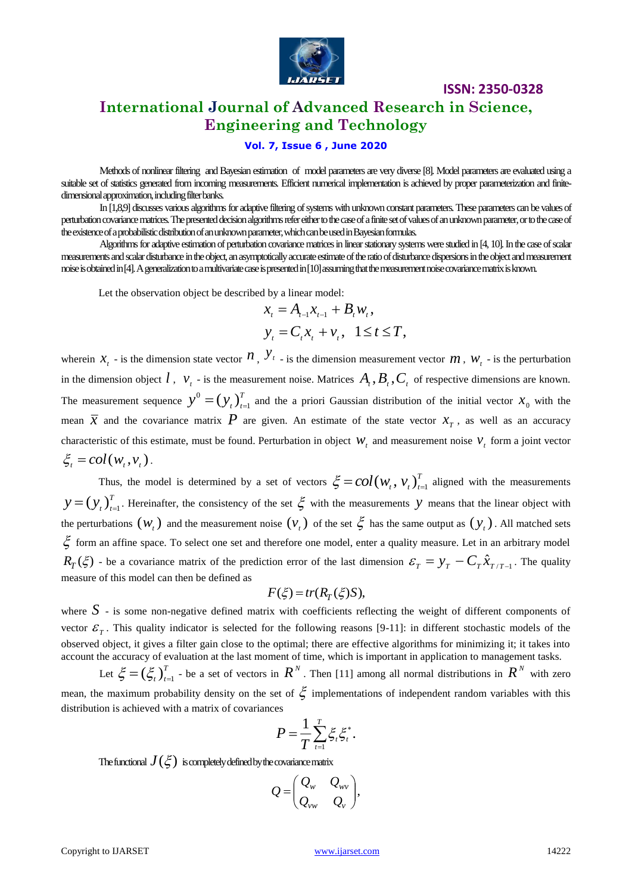

## **International Journal of Advanced Research in Science, Engineering and Technology**

**ISSN: 2350-0328**

### **Vol. 7, Issue 6 , June 2020**

Methods of nonlinear filtering and Bayesian estimation of model parameters are very diverse [8]. Model parameters are evaluated using a suitable set of statistics generated from incoming measurements. Efficient numerical implementation is achieved by proper parameterization and finitedimensional approximation, including filter banks.

In [1,8,9] discusses various algorithms for adaptive filtering of systems with unknown constant parameters. These parameters can be values of perturbation covariance matrices. The presented decision algorithms refer either to the case of a finite set of values of an unknown parameter, or to the case of the existence of a probabilistic distribution of an unknown parameter, which can be used in Bayesian formulas.

Algorithms for adaptive estimation of perturbation covariance matrices in linear stationary systems were studied in [4, 10]. In the case of scalar measurements and scalar disturbance in theobject, an asymptotically accurate estimate of the ratio of disturbance dispersions in the object and measurement noise is obtained in [4]. A generalization to a multivariate case is presented in [10] assuming that the measurement noise covariance matrix is known.

Let the observation object be described by a linear model:

$$
x_{t} = A_{t-1}x_{t-1} + B_{t}w_{t},
$$
  

$$
y_{t} = C_{t}x_{t} + v_{t}, \quad 1 \le t \le T,
$$

wherein  $x_t$  - is the dimension state vector  $n$ ,  $y_t$  - is the dimension measurement vector  $m$ ,  $w_t$  - is the perturbation in the dimension object  $l$ ,  $v_t$  - is the measurement noise. Matrices  $A_t$ ,  $B_t$ ,  $C_t$  of respective dimensions are known. The measurement sequence  $y^0 = (y_t)^T$  $y^0 = (y_t)_{t=1}^T$  and the a priori Gaussian distribution of the initial vector  $x_0$  with the mean  $\bar{x}$  and the covariance matrix  $P$  are given. An estimate of the state vector  $x_r$ , as well as an accuracy characteristic of this estimate, must be found. Perturbation in object  $W_t$  and measurement noise  $V_t$  form a joint vector  $\xi_i = col(w_i, v_i)$ .

Thus, the model is determined by a set of vectors  $\zeta = col(w, v)$ .  $\zeta = col(w_t, v_t)_{t=1}^T$  aligned with the measurements *T*  $y = (y_t)_{t=1}^T$ . Hereinafter, the consistency of the set  $\xi$  with the measurements y means that the linear object with the perturbations  $(w_t)$  and the measurement noise  $(v_t)$  of the set  $\xi$  has the same output as  $(y_t)$ . All matched sets form an affine space. To select one set and therefore one model, enter a quality measure. Let in an arbitrary model  $R_T(\xi)$  - be a covariance matrix of the prediction error of the last dimension  $\mathcal{E}_T = y_T - C_T \hat{x}_{T/T-1}$ . The quality measure of this model can then be defined as

$$
F(\xi) = tr(R_T(\xi)S),
$$

where  $S$  - is some non-negative defined matrix with coefficients reflecting the weight of different components of vector  $\mathcal{E}_T$ . This quality indicator is selected for the following reasons [9-11]: in different stochastic models of the observed object, it gives a filter gain close to the optimal; there are effective algorithms for minimizing it; it takes into account the accuracy of evaluation at the last moment of time, which is important in application to management tasks.

Let  $\xi = (\xi_t)^T$  $\zeta = (\zeta_t)_{t=1}^T$  - be a set of vectors in  $R^N$ . Then [11] among all normal distributions in  $R^N$  with zero mean, the maximum probability density on the set of  $\zeta$  implementations of independent random variables with this distribution is achieved with a matrix of covariances

$$
P=\frac{1}{T}\sum_{t=1}^T \xi_t \xi_t^*.
$$

The functional  $J(\xi)$  is completely defined by the covariance matrix

$$
Q = \begin{pmatrix} Q_w & Q_{wv} \\ Q_{vw} & Q_v \end{pmatrix},
$$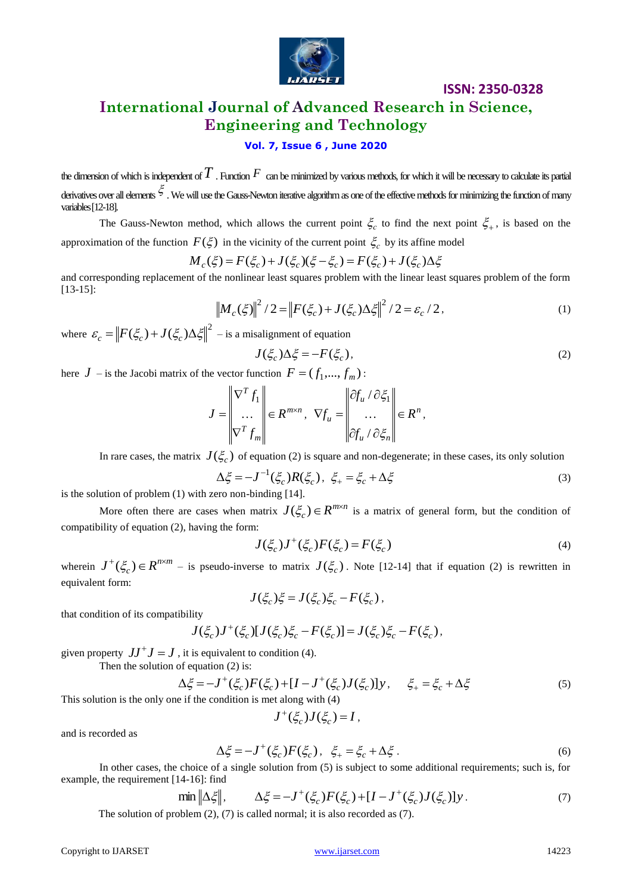

### **ISSN: 2350-0328**

### **International Journal of Advanced Research in Science, Engineering and Technology**

### **Vol. 7, Issue 6 , June 2020**

the dimension of which is independent of  $T$  . Function  $F\,$  can be minimized by various methods, for which it will be necessary to calculate its partial derivatives over all elements  $\tilde{\zeta}$  . We will use the Gauss-Newton iterative algorithm as one of the effective methods for minimizing the function of many variables [12-18].

The Gauss-Newton method, which allows the current point  $\zeta_c$  to find the next point  $\zeta_+$ , is based on the approximation of the function  $F(\xi)$  in the vicinity of the current point  $\xi_c$  by its affine model

$$
M_c(\xi) = F(\xi_c) + J(\xi_c)(\xi - \xi_c) = F(\xi_c) + J(\xi_c)\Delta\xi
$$

and corresponding replacement of the nonlinear least squares problem with the linear least squares problem of the form [13-15]:

$$
\left\| M_c(\xi) \right\|^2 / 2 = \left\| F(\xi_c) + J(\xi_c) \Delta \xi \right\|^2 / 2 = \varepsilon_c / 2, \tag{1}
$$

where  $\varepsilon_c = ||F(\xi_c) + J(\xi_c) \Delta \xi||^2$  $\mathcal{E}_c = \left\| F(\xi_c) + J(\xi_c) \Delta \xi \right\|^2$  – is a misalignment of equation

$$
J(\xi_c)\Delta \xi = -F(\xi_c),\tag{2}
$$

here  $J$  – is the Jacobi matrix of the vector function  $F = (f_1, ..., f_m)$ :

$$
J = \begin{bmatrix} \nabla^T f_1 \\ \dots \\ \nabla^T f_m \end{bmatrix} \in R^{m \times n}, \quad \nabla f_u = \begin{bmatrix} \partial f_u / \partial \xi_1 \\ \dots \\ \partial f_u / \partial \xi_n \end{bmatrix} \in R^n,
$$

In rare cases, the matrix  $J(\xi_c)$  of equation (2) is square and non-degenerate; in these cases, its only solution

$$
\Delta \xi = -J^{-1}(\xi_c)R(\xi_c), \ \xi_+ = \xi_c + \Delta \xi \tag{3}
$$

is the solution of problem (1) with zero non-binding [14].

More often there are cases when matrix  $J(\xi_c) \in R^{m \times n}$  is a matrix of general form, but the condition of compatibility of equation (2), having the form:

$$
J(\xi_c)J^+(\xi_c)F(\xi_c) = F(\xi_c)
$$
\n<sup>(4)</sup>

wherein  $J^+(\xi_c) \in R^{n \times m}$  – is pseudo-inverse to matrix  $J(\xi_c)$ . Note [12-14] that if equation (2) is rewritten in equivalent form:

$$
J(\xi_c)\xi = J(\xi_c)\xi_c - F(\xi_c),
$$

that condition of its compatibility

$$
J(\xi_c)J^+(\xi_c)[J(\xi_c)\xi_c - F(\xi_c)] = J(\xi_c)\xi_c - F(\xi_c),
$$

given property  $JJ^+J = J$ , it is equivalent to condition (4).

Then the solution of equation 
$$
(2)
$$
 is:

$$
\Delta \xi = -J^+(\xi_c) F(\xi_c) + [I - J^+(\xi_c) J(\xi_c)] y, \quad \xi_+ = \xi_c + \Delta \xi
$$
\n<sup>(5)</sup>

This solution is the only one if the condition is met along with (4)

$$
J^+(\xi_c)J(\xi_c)=I,
$$

and is recorded as

$$
\Delta \xi = -J^+(\xi_c) F(\xi_c), \ \xi_+ = \xi_c + \Delta \xi \,. \tag{6}
$$

In other cases, the choice of a single solution from (5) is subject to some additional requirements; such is, for example, the requirement [14-16]: find

$$
\min \left\| \Delta \xi \right\|, \qquad \Delta \xi = -J^+(\xi_c) F(\xi_c) + [I - J^+(\xi_c) J(\xi_c)] y. \tag{7}
$$

The solution of problem (2), (7) is called normal; it is also recorded as (7).